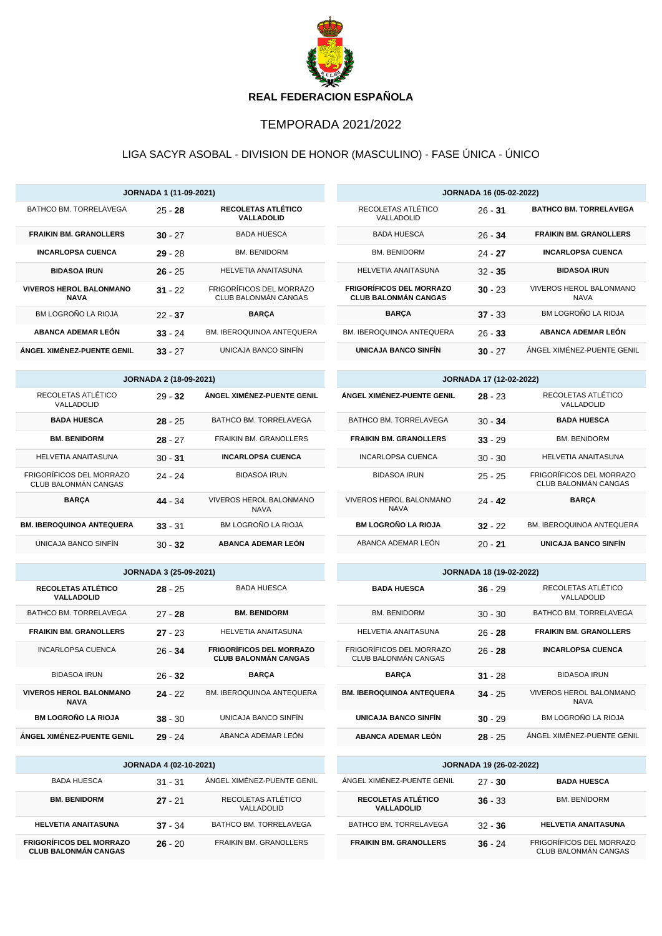

## TEMPORADA 2021/2022

## LIGA SACYR ASOBAL - DIVISION DE HONOR (MASCULINO) - FASE ÚNICA - ÚNICO

|                                                  | <b>JORNADA 1 (11-09-2021)</b> |                                                                |                                                                | <b>JORNADA 16 (05-02-2022)</b> |                                                  |  |
|--------------------------------------------------|-------------------------------|----------------------------------------------------------------|----------------------------------------------------------------|--------------------------------|--------------------------------------------------|--|
| BATHCO BM. TORRELAVEGA                           | $25 - 28$                     | RECOLETAS ATLÉTICO<br><b>VALLADOLID</b>                        | RECOLETAS ATLÉTICO<br>VALLADOLID                               | $26 - 31$                      | <b>BATHCO BM. TORRELAVEGA</b>                    |  |
| <b>FRAIKIN BM. GRANOLLERS</b>                    | $30 - 27$                     | <b>BADA HUESCA</b>                                             | <b>BADA HUESCA</b>                                             | $26 - 34$                      | <b>FRAIKIN BM. GRANOLLERS</b>                    |  |
| <b>INCARLOPSA CUENCA</b>                         | $29 - 28$                     | <b>BM. BENIDORM</b>                                            | <b>BM. BENIDORM</b>                                            | $24 - 27$                      | <b>INCARLOPSA CUENCA</b>                         |  |
| <b>BIDASOA IRUN</b>                              | $26 - 25$                     | <b>HELVETIA ANAITASUNA</b>                                     | HELVETIA ANAITASUNA                                            | $32 - 35$                      | <b>BIDASOA IRUN</b>                              |  |
| <b>VIVEROS HEROL BALONMANO</b><br><b>NAVA</b>    | $31 - 22$                     | FRIGORÍFICOS DEL MORRAZO<br>CLUB BALONMÁN CANGAS               | <b>FRIGORÍFICOS DEL MORRAZO</b><br><b>CLUB BALONMÁN CANGAS</b> | $30 - 23$                      | VIVEROS HEROL BALONMANO<br><b>NAVA</b>           |  |
| BM LOGROÑO LA RIOJA                              | $22 - 37$                     | <b>BARÇA</b>                                                   | <b>BARCA</b>                                                   | $37 - 33$                      | BM LOGROÑO LA RIOJA                              |  |
| <b>ABANCA ADEMAR LEÓN</b>                        | $33 - 24$                     | BM. IBEROQUINOA ANTEQUERA                                      | BM. IBEROQUINOA ANTEQUERA                                      | $26 - 33$                      | <b>ABANCA ADEMAR LEÓN</b>                        |  |
| ÁNGEL XIMÉNEZ-PUENTE GENIL                       | $33 - 27$                     | UNICAJA BANCO SINFIN                                           | UNICAJA BANCO SINFIN                                           | $30 - 27$                      | ÁNGEL XIMÉNEZ-PUENTE GENIL                       |  |
|                                                  |                               |                                                                |                                                                |                                |                                                  |  |
|                                                  | <b>JORNADA 2 (18-09-2021)</b> |                                                                |                                                                | JORNADA 17 (12-02-2022)        |                                                  |  |
| RECOLETAS ATLÉTICO<br>VALLADOLID                 | $29 - 32$                     | ÁNGEL XIMÉNEZ-PUENTE GENIL                                     | ÁNGEL XIMÉNEZ-PUENTE GENIL                                     | $28 - 23$                      | RECOLETAS ATLÉTICO<br>VALLADOLID                 |  |
| <b>BADA HUESCA</b>                               | $28 - 25$                     | BATHCO BM. TORRELAVEGA                                         | BATHCO BM. TORRELAVEGA                                         | $30 - 34$                      | <b>BADA HUESCA</b>                               |  |
| <b>BM. BENIDORM</b>                              | $28 - 27$                     | FRAIKIN BM. GRANOLLERS                                         | <b>FRAIKIN BM. GRANOLLERS</b>                                  | $33 - 29$                      | <b>BM. BENIDORM</b>                              |  |
| <b>HELVETIA ANAITASUNA</b>                       | $30 - 31$                     | <b>INCARLOPSA CUENCA</b>                                       | <b>INCARLOPSA CUENCA</b>                                       | $30 - 30$                      | HELVETIA ANAITASUNA                              |  |
| FRIGORÍFICOS DEL MORRAZO<br>CLUB BALONMÁN CANGAS | $24 - 24$                     | <b>BIDASOA IRUN</b>                                            | <b>BIDASOA IRUN</b>                                            | $25 - 25$                      | FRIGORÍFICOS DEL MORRAZO<br>CLUB BALONMÁN CANGAS |  |
| <b>BARÇA</b>                                     | $44 - 34$                     | <b>VIVEROS HEROL BALONMANO</b><br><b>NAVA</b>                  | VIVEROS HEROL BALONMANO<br><b>NAVA</b>                         | $24 - 42$                      | <b>BARÇA</b>                                     |  |
| <b>BM. IBEROQUINOA ANTEQUERA</b>                 | $33 - 31$                     | BM LOGROÑO LA RIOJA                                            | <b>BM LOGROÑO LA RIOJA</b>                                     | $32 - 22$                      | BM. IBEROQUINOA ANTEQUERA                        |  |
| UNICAJA BANCO SINFÍN                             | $30 - 32$                     | <b>ABANCA ADEMAR LEÓN</b>                                      | ABANCA ADEMAR LEÓN                                             | $20 - 21$                      | <b>UNICAJA BANCO SINFÍN</b>                      |  |
|                                                  | JORNADA 3 (25-09-2021)        |                                                                |                                                                | <b>JORNADA 18 (19-02-2022)</b> |                                                  |  |
| RECOLETAS ATLÉTICO<br>VALLADOLID                 | $28 - 25$                     | <b>BADA HUESCA</b>                                             | <b>BADA HUESCA</b>                                             | $36 - 29$                      | RECOLETAS ATLÉTICO<br>VALLADOLID                 |  |
| BATHCO BM. TORRELAVEGA                           | $27 - 28$                     | <b>BM. BENIDORM</b>                                            | <b>BM. BENIDORM</b>                                            | $30 - 30$                      | BATHCO BM. TORRELAVEGA                           |  |
| <b>FRAIKIN BM. GRANOLLERS</b>                    | $27 - 23$                     | HELVETIA ANAITASUNA                                            | HELVETIA ANAITASUNA                                            | $26 - 28$                      | <b>FRAIKIN BM. GRANOLLERS</b>                    |  |
| <b>INCARLOPSA CUENCA</b>                         | $26 - 34$                     | <b>FRIGORÍFICOS DEL MORRAZO</b><br><b>CLUB BALONMÁN CANGAS</b> | FRIGORÍFICOS DEL MORRAZO<br>CLUB BALONMÁN CANGAS               | $26 - 28$                      | <b>INCARLOPSA CUENCA</b>                         |  |
| <b>BIDASOA IRUN</b>                              | $26 - 32$                     | <b>BARÇA</b>                                                   | <b>BARÇA</b>                                                   | $31 - 28$                      | <b>BIDASOA IRUN</b>                              |  |
| <b>VIVEROS HEROL BALONMANO</b><br><b>NAVA</b>    | $24 - 22$                     | BM. IBEROQUINOA ANTEQUERA                                      | <b>BM. IBEROQUINOA ANTEQUERA</b>                               | $34 - 25$                      | VIVEROS HEROL BALONMANO<br><b>NAVA</b>           |  |
| <b>BM LOGROÑO LA RIOJA</b>                       | $38 - 30$                     | UNICAJA BANCO SINFIN                                           | UNICAJA BANCO SINFIN                                           | $30 - 29$                      | BM LOGROÑO LA RIOJA                              |  |

| <b>JORNADA 4 (02-10-2021)</b>                           |           |                                  |  |  |  |
|---------------------------------------------------------|-----------|----------------------------------|--|--|--|
| <b>BADA HUESCA</b>                                      | $31 - 31$ | ÁNGEL XIMÉNEZ-PUENTE GENIL       |  |  |  |
| <b>BM. BENIDORM</b>                                     | $27 - 21$ | RECOLETAS ATLÉTICO<br>VALLADOLID |  |  |  |
| <b>HELVETIA ANAITASUNA</b>                              | $37 - 34$ | BATHCO BM. TORRELAVEGA           |  |  |  |
| FRIGORÍFICOS DEL MORRAZO<br><b>CLUB BALONMÁN CANGAS</b> | $26 - 20$ | <b>FRAIKIN BM. GRANOLLERS</b>    |  |  |  |

**ÁNGEL XIMÉNEZ-PUENTE GENIL 29 - 24** ABANCA ADEMAR LEÓN

| <b>JORNADA 19 (26-02-2022)</b>   |           |                                                  |  |  |
|----------------------------------|-----------|--------------------------------------------------|--|--|
| ÁNGEL XIMÉNEZ-PUENTE GENIL       | $27 - 30$ | <b>BADA HUESCA</b>                               |  |  |
| RECOLETAS ATLÉTICO<br>VALLADOLID | $36 - 33$ | <b>BM. BENIDORM</b>                              |  |  |
| BATHCO BM. TORRELAVEGA           | $32 - 36$ | <b>HELVETIA ANAITASUNA</b>                       |  |  |
| <b>FRAIKIN BM. GRANOLLERS</b>    | $36 - 24$ | FRIGORÍFICOS DEL MORRAZO<br>CLUB BALONMÁN CANGAS |  |  |

**ABANCA ADEMAR LEÓN 28** - 25 ÁNGEL XIMÉNEZ-PUENTE GENIL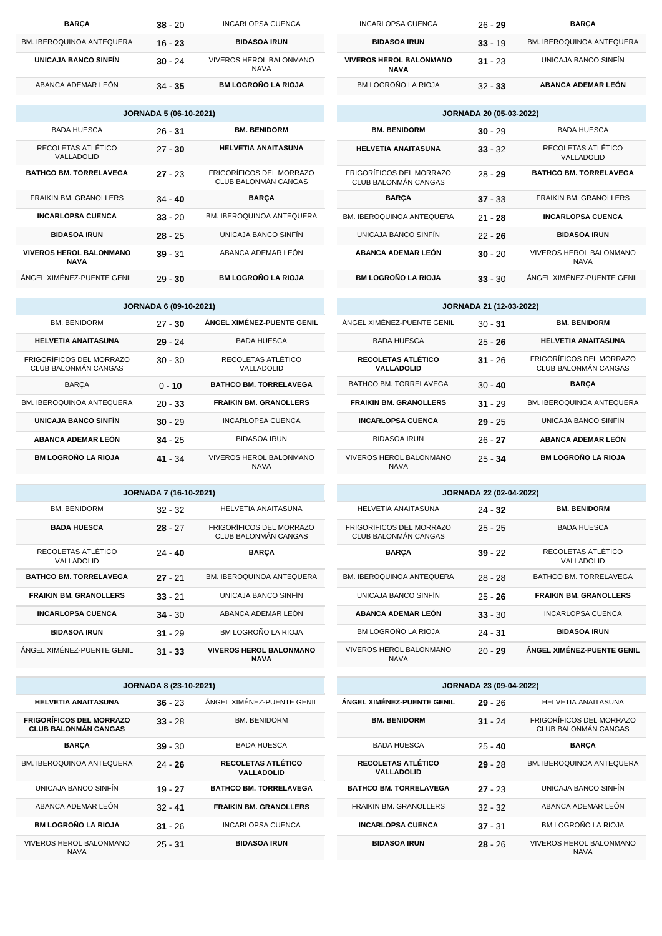| INCARLOPSA CUENCA                             | $26 - 29$ | <b>BARCA</b>                     |
|-----------------------------------------------|-----------|----------------------------------|
| <b>BIDASOA IRUN</b>                           | $33 - 19$ | <b>BM. IBEROQUINOA ANTEQUERA</b> |
| <b>VIVEROS HEROL BALONMANO</b><br><b>NAVA</b> | $31 - 23$ | UNICAJA BANCO SINFÍN             |
| BM LOGROÑO LA RIOJA                           | $32 - 33$ | ABANCA ADEMAR LEÓN               |

| <b>JORNADA 20 (05-03-2022)</b>                   |           |                                               |  |  |
|--------------------------------------------------|-----------|-----------------------------------------------|--|--|
| <b>BM. BENIDORM</b>                              | $30 - 29$ | <b>BADA HUESCA</b>                            |  |  |
| <b>HELVETIA ANAITASUNA</b>                       | $33 - 32$ | RECOLETAS ATLÉTICO<br>VALLADOLID              |  |  |
| FRIGORÍFICOS DEL MORRAZO<br>CLUB BALONMÁN CANGAS | $28 - 29$ | <b>BATHCO BM. TORRELAVEGA</b>                 |  |  |
| <b>BARCA</b>                                     | $37 - 33$ | <b>FRAIKIN BM. GRANOLLERS</b>                 |  |  |
| BM. IBEROQUINOA ANTEQUERA                        | $21 - 28$ | <b>INCARLOPSA CUENCA</b>                      |  |  |
| UNICAJA BANCO SINFÍN                             | $22 - 26$ | <b>BIDASOA IRUN</b>                           |  |  |
| ABANCA ADEMAR LEÓN                               | $30 - 20$ | <b>VIVEROS HEROL BALONMANO</b><br><b>NAVA</b> |  |  |
| <b>BM LOGROÑO LA RIOJA</b>                       | $33 - 30$ | ÁNGEL XIMÉNEZ-PUENTE GENIL                    |  |  |

| <b>JORNADA 21 (12-03-2022)</b>         |           |                                                  |  |  |  |
|----------------------------------------|-----------|--------------------------------------------------|--|--|--|
| ÁNGEL XIMÉNEZ-PUENTE GENIL             | $30 - 31$ | <b>BM. BENIDORM</b>                              |  |  |  |
| <b>BADA HUESCA</b>                     | $25 - 26$ | <b>HELVETIA ANAITASUNA</b>                       |  |  |  |
| RECOLETAS ATLÉTICO<br>VALLADOLID       | $31 - 26$ | FRIGORÍFICOS DEL MORRAZO<br>CLUB BALONMÁN CANGAS |  |  |  |
| BATHCO BM. TORRELAVEGA                 | $30 - 40$ | <b>BARCA</b>                                     |  |  |  |
| <b>FRAIKIN BM. GRANOLLERS</b>          | $31 - 29$ | <b>BM. IBEROQUINOA ANTEQUERA</b>                 |  |  |  |
| <b>INCARLOPSA CUENCA</b>               | $29 - 25$ | UNICAJA BANCO SINFÍN                             |  |  |  |
| <b>BIDASOA IRUN</b>                    | $26 - 27$ | ABANCA ADEMAR LEÓN                               |  |  |  |
| VIVEROS HEROL BALONMANO<br><b>NAVA</b> | $25 - 34$ | <b>BM LOGROÑO LA RIOJA</b>                       |  |  |  |

| <b>JORNADA 22 (02-04-2022)</b>                   |           |                                  |  |  |  |
|--------------------------------------------------|-----------|----------------------------------|--|--|--|
| <b>HELVETIA ANAITASUNA</b>                       | $24 - 32$ | <b>BM. BENIDORM</b>              |  |  |  |
| FRIGORÍFICOS DEL MORRAZO<br>CLUB BALONMÁN CANGAS | $25 - 25$ | <b>BADA HUESCA</b>               |  |  |  |
| <b>BARCA</b>                                     | $39 - 22$ | RECOLETAS ATLÉTICO<br>VALLADOLID |  |  |  |
| BM. IBEROQUINOA ANTEQUERA                        | $28 - 28$ | BATHCO BM. TORRELAVEGA           |  |  |  |
| UNICAJA BANCO SINFÍN                             | $25 - 26$ | <b>FRAIKIN BM. GRANOLLERS</b>    |  |  |  |
| <b>ABANCA ADEMAR LEÓN</b>                        | $33 - 30$ | <b>INCARLOPSA CUENCA</b>         |  |  |  |
| BM LOGROÑO LA RIOJA                              | $24 - 31$ | <b>BIDASOA IRUN</b>              |  |  |  |
| VIVEROS HEROL BALONMANO<br><b>NAVA</b>           | $20 - 29$ | ÁNGEL XIMÉNEZ-PUENTE GENIL       |  |  |  |

| <b>JORNADA 23 (09-04-2022)</b>   |           |                                                         |  |  |
|----------------------------------|-----------|---------------------------------------------------------|--|--|
| ÁNGEL XIMÉNEZ-PUENTE GENIL       | $29 - 26$ | <b>HELVETIA ANAITASUNA</b>                              |  |  |
| <b>BM. BENIDORM</b>              | $31 - 24$ | <b>FRIGORÍFICOS DEL MORRAZO</b><br>CLUB BALONMÁN CANGAS |  |  |
| <b>BADA HUESCA</b>               | $25 - 40$ | <b>BARCA</b>                                            |  |  |
| RECOLETAS ATLÉTICO<br>VALLADOLID | $29 - 28$ | <b>BM. IBEROQUINOA ANTEQUERA</b>                        |  |  |
| <b>BATHCO BM. TORRELAVEGA</b>    | $27 - 23$ | UNICAJA BANCO SINFÍN                                    |  |  |
| <b>FRAIKIN BM. GRANOLLERS</b>    | $32 - 32$ | ABANCA ADEMAR LEÓN                                      |  |  |
| <b>INCARLOPSA CUENCA</b>         | $37 - 31$ | BM LOGROÑO LA RIOJA                                     |  |  |
| <b>BIDASOA IRUN</b>              | $28 - 26$ | <b>VIVEROS HEROL BALONMANO</b><br><b>NAVA</b>           |  |  |

| <b>BARCA</b>                | $38 - 20$ | <b>INCARLOPSA CUENCA</b>                      |
|-----------------------------|-----------|-----------------------------------------------|
| BM. IBEROQUINOA ANTEQUERA   | $16 - 23$ | <b>BIDASOA IRUN</b>                           |
| <b>UNICAJA BANCO SINFÍN</b> | $30 - 24$ | <b>VIVEROS HEROL BALONMANO</b><br><b>NAVA</b> |
| ABANCA ADEMAR LEÓN          | $34 - 35$ | <b>BM LOGROÑO LA RIOJA</b>                    |

| <b>JORNADA 5 (06-10-2021)</b>                 |           |                                                         |  |  |
|-----------------------------------------------|-----------|---------------------------------------------------------|--|--|
| BADA HUESCA                                   | $26 - 31$ | <b>BM. BENIDORM</b>                                     |  |  |
| RECOLETAS ATLÉTICO<br>VALLADOLID              | $27 - 30$ | <b>HELVETIA ANAITASUNA</b>                              |  |  |
| <b>BATHCO BM. TORRELAVEGA</b>                 | $27 - 23$ | <b>FRIGORÍFICOS DEL MORRAZO</b><br>CLUB BALONMÁN CANGAS |  |  |
| <b>FRAIKIN BM. GRANOLLERS</b>                 | $34 - 40$ | <b>BARCA</b>                                            |  |  |
| <b>INCARLOPSA CUENCA</b>                      | $33 - 20$ | <b>BM. IBEROQUINOA ANTEQUERA</b>                        |  |  |
| <b>BIDASOA IRUN</b>                           | $28 - 25$ | UNICAJA BANCO SINFÍN                                    |  |  |
| <b>VIVEROS HEROL BALONMANO</b><br><b>NAVA</b> | $39 - 31$ | ABANCA ADEMAR LEÓN                                      |  |  |
| ÁNGEL XIMÉNEZ-PUENTE GENIL                    | $29 - 30$ | <b>BM LOGROÑO LA RIOJA</b>                              |  |  |

| <b>JORNADA 6 (09-10-2021)</b>                    |           |                                               |  |  |
|--------------------------------------------------|-----------|-----------------------------------------------|--|--|
| <b>BM. BENIDORM</b>                              | $27 - 30$ | ÁNGEL XIMÉNEZ-PUENTE GENIL                    |  |  |
| <b>HELVETIA ANAITASUNA</b>                       | $29 - 24$ | <b>BADA HUESCA</b>                            |  |  |
| FRIGORÍFICOS DEL MORRAZO<br>CLUB BALONMÁN CANGAS | $30 - 30$ | RECOLETAS ATLÉTICO<br>VALLADOLID              |  |  |
| <b>BARCA</b>                                     | $0 - 10$  | <b>BATHCO BM. TORRELAVEGA</b>                 |  |  |
| <b>BM. IBEROQUINOA ANTEQUERA</b>                 | $20 - 33$ | <b>FRAIKIN BM. GRANOLLERS</b>                 |  |  |
| <b>UNICAJA BANCO SINFÍN</b>                      | $30 - 29$ | <b>INCARLOPSA CUENCA</b>                      |  |  |
| ABANCA ADEMAR LEÓN                               | $34 - 25$ | <b>BIDASOA IRUN</b>                           |  |  |
| <b>BM LOGROÑO LA RIOJA</b>                       | $41 - 34$ | <b>VIVEROS HEROL BALONMANO</b><br><b>NAVA</b> |  |  |

| <b>JORNADA 7 (16-10-2021)</b> |  |
|-------------------------------|--|
|-------------------------------|--|

| <b>BM. BENIDORM</b>              | $32 - 32$ | HELVETIA ANAITASUNA                              |  |
|----------------------------------|-----------|--------------------------------------------------|--|
| <b>BADA HUESCA</b>               | $28 - 27$ | FRIGORÍFICOS DEL MORRAZO<br>CLUB BALONMÁN CANGAS |  |
| RECOLETAS ATLÉTICO<br>VALLADOLID | $24 - 40$ | <b>BARCA</b>                                     |  |
| <b>BATHCO BM. TORRELAVEGA</b>    | $27 - 21$ | <b>BM. IBEROQUINOA ANTEQUERA</b>                 |  |
| <b>FRAIKIN BM. GRANOLLERS</b>    | $33 - 21$ | UNICAJA BANCO SINFÍN                             |  |
| <b>INCARLOPSA CUENCA</b>         | $34 - 30$ | ABANCA ADEMAR LEÓN                               |  |
| <b>BIDASOA IRUN</b>              | $31 - 29$ | BM LOGROÑO LA RIOJA                              |  |
| ÁNGEL XIMÉNEZ-PUENTE GENIL       | $31 - 33$ | <b>VIVEROS HEROL BALONMANO</b><br><b>NAVA</b>    |  |

| <b>JORNADA 8 (23-10-2021)</b>                                  |           |                                  |  |  |
|----------------------------------------------------------------|-----------|----------------------------------|--|--|
| <b>HELVETIA ANAITASUNA</b>                                     | $36 - 23$ | ÁNGEL XIMÉNEZ-PUENTE GENIL       |  |  |
| <b>FRIGORÍFICOS DEL MORRAZO</b><br><b>CLUB BALONMÁN CANGAS</b> | $33 - 28$ | <b>BM. BENIDORM</b>              |  |  |
| <b>BARCA</b>                                                   | $39 - 30$ | <b>BADA HUESCA</b>               |  |  |
| <b>BM. IBEROQUINOA ANTEQUERA</b>                               | $24 - 26$ | RECOLETAS ATLÉTICO<br>VALLADOLID |  |  |
| UNICAJA BANCO SINFÍN                                           | $19 - 27$ | <b>BATHCO BM. TORRELAVEGA</b>    |  |  |
| ARANCA ADEMAR I FÓN                                            | $32 - 41$ | <b>FRAIKIN BM. GRANOLLERS</b>    |  |  |
| <b>BM LOGROÑO LA RIOJA</b>                                     | $31 - 26$ | <b>INCARLOPSA CUENCA</b>         |  |  |
| VIVEROS HEROL BALONMANO<br><b>NAVA</b>                         | $25 - 31$ | <b>BIDASOA IRUN</b>              |  |  |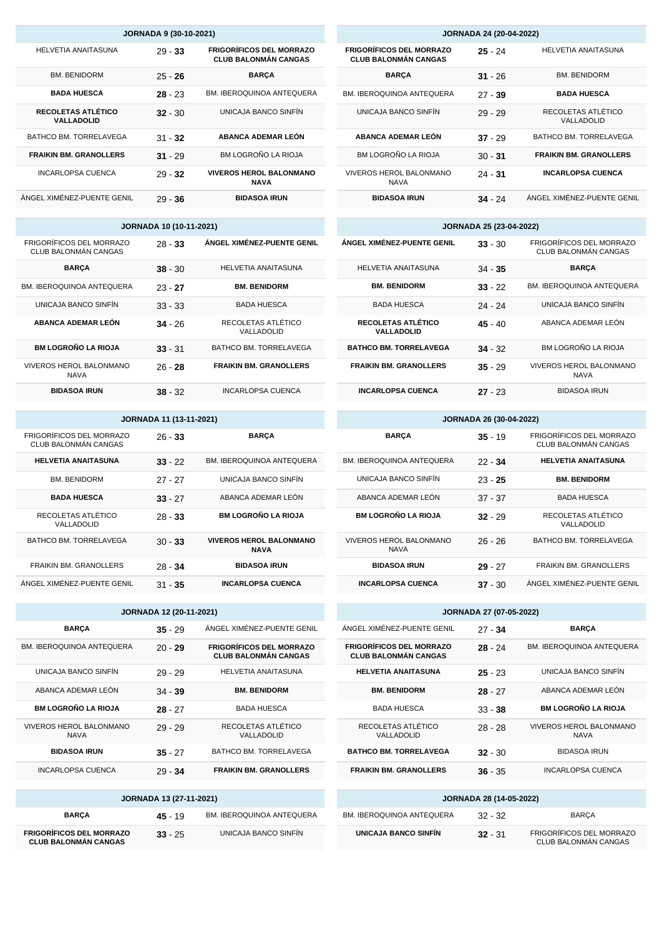|                                                      | <b>JORNADA 24 (20-04-2022)</b>                                 |           |                                  |  |
|------------------------------------------------------|----------------------------------------------------------------|-----------|----------------------------------|--|
| IGORÍFICOS DEL MORRAZO<br><b>LUB BALONMÁN CANGAS</b> | <b>FRIGORÍFICOS DEL MORRAZO</b><br><b>CLUB BALONMÁN CANGAS</b> | $25 - 24$ | <b>HELVETIA ANAITASUNA</b>       |  |
| <b>BARÇA</b>                                         | <b>BARÇA</b>                                                   | $31 - 26$ | <b>BM. BENIDORM</b>              |  |
| <b>IBEROQUINOA ANTEQUERA</b>                         | <b>BM. IBEROQUINOA ANTEQUERA</b>                               | $27 - 39$ | <b>BADA HUESCA</b>               |  |
| UNICAJA BANCO SINFÍN                                 | UNICAJA BANCO SINFÍN                                           | $29 - 29$ | RECOLETAS ATLÉTICO<br>VALLADOLID |  |
| <b>ABANCA ADEMAR LEÓN</b>                            | ABANCA ADEMAR LEÓN                                             | $37 - 29$ | BATHCO BM. TORRELAVEGA           |  |
| BM LOGROÑO LA RIOJA                                  | BM LOGROÑO LA RIOJA                                            | $30 - 31$ | <b>FRAIKIN BM. GRANOLLERS</b>    |  |
| <b>'EROS HEROL BALONMANO</b><br><b>NAVA</b>          | <b>VIVEROS HEROL BALONMANO</b><br><b>NAVA</b>                  | $24 - 31$ | <b>INCARLOPSA CUENCA</b>         |  |
| <b>BIDASOA IRUN</b>                                  | <b>BIDASOA IRUN</b>                                            | $34 - 24$ | ÁNGEL XIMÉNEZ-PUENTE GENIL       |  |

| <b>JORNADA 25 (23-04-2022)</b>   |           |                                                  |  |  |
|----------------------------------|-----------|--------------------------------------------------|--|--|
| ÁNGEL XIMÉNEZ-PUENTE GENIL       | $33 - 30$ | FRIGORÍFICOS DEL MORRAZO<br>CLUB BALONMÁN CANGAS |  |  |
| HELVETIA ANAITASUNA              | $34 - 35$ | <b>BARCA</b>                                     |  |  |
| <b>BM. BENIDORM</b>              | $33 - 22$ | <b>BM. IBEROQUINOA ANTEQUERA</b>                 |  |  |
| <b>BADA HUESCA</b>               | 24 - 24   | UNICAJA BANCO SINFÍN                             |  |  |
| RECOLETAS ATLÉTICO<br>VALLADOLID | $45 - 40$ | ABANCA ADEMAR LEÓN                               |  |  |
| <b>BATHCO BM. TORRELAVEGA</b>    | $34 - 32$ | BM LOGROÑO LA RIOJA                              |  |  |
| <b>FRAIKIN BM. GRANOLLERS</b>    | $35 - 29$ | <b>VIVEROS HEROL BALONMANO</b><br><b>NAVA</b>    |  |  |
| <b>INCARLOPSA CUENCA</b>         | $27 - 23$ | <b>BIDASOA IRUN</b>                              |  |  |

| JORNADA 26 (30-04-2022)                |           |                                                         |  |
|----------------------------------------|-----------|---------------------------------------------------------|--|
| <b>BARCA</b>                           | $35 - 19$ | <b>FRIGORÍFICOS DEL MORRAZO</b><br>CLUB BALONMÁN CANGAS |  |
| <b>BM. IBEROQUINOA ANTEQUERA</b>       | $22 - 34$ | <b>HELVETIA ANAITASUNA</b>                              |  |
| UNICAJA BANCO SINFÍN                   | $23 - 25$ | <b>BM. BENIDORM</b>                                     |  |
| ARANCA ADEMAR LEÓN                     | $37 - 37$ | <b>BADA HUESCA</b>                                      |  |
| <b>BM LOGROÑO LA RIOJA</b>             | $32 - 29$ | RECOLETAS ATLÉTICO<br>VALLADOLID                        |  |
| VIVEROS HEROL BALONMANO<br><b>NAVA</b> | $26 - 26$ | BATHCO BM. TORRELAVEGA                                  |  |
| <b>BIDASOA IRUN</b>                    | $29 - 27$ | <b>FRAIKIN BM. GRANOLLERS</b>                           |  |
| <b>INCARLOPSA CUENCA</b>               | $37 - 30$ | ÁNGEL XIMÉNEZ-PUENTE GENIL                              |  |

| <b>JORNADA 27 (07-05-2022)</b>                                 |           |                                                         |  |  |  |
|----------------------------------------------------------------|-----------|---------------------------------------------------------|--|--|--|
| ÁNGEL XIMÉNEZ-PUENTE GENIL                                     | $27 - 34$ | <b>BARÇA</b>                                            |  |  |  |
| <b>FRIGORÍFICOS DEL MORRAZO</b><br><b>CLUB BALONMÁN CANGAS</b> | $28 - 24$ | <b>BM. IBEROQUINOA ANTEQUERA</b>                        |  |  |  |
| <b>HELVETIA ANAITASUNA</b>                                     | $25 - 23$ | UNICAJA BANCO SINFÍN                                    |  |  |  |
| <b>BM. BENIDORM</b>                                            | $28 - 27$ | ABANCA ADEMAR LEÓN                                      |  |  |  |
| <b>BADA HUESCA</b>                                             | $33 - 38$ | <b>BM LOGROÑO LA RIOJA</b>                              |  |  |  |
| RECOLETAS ATLÉTICO<br>VALLADOLID                               | $28 - 28$ | <b>VIVEROS HEROL BALONMANO</b><br><b>NAVA</b>           |  |  |  |
| <b>BATHCO BM. TORRELAVEGA</b>                                  | $32 - 30$ | <b>BIDASOA IRUN</b>                                     |  |  |  |
| <b>FRAIKIN BM. GRANOLLERS</b>                                  | $36 - 35$ | <b>INCARLOPSA CUENCA</b>                                |  |  |  |
| <b>JORNADA 28 (14-05-2022)</b>                                 |           |                                                         |  |  |  |
| <b>BM. IBEROQUINOA ANTEQUERA</b>                               | $32 - 32$ | <b>BARÇA</b>                                            |  |  |  |
| UNICAJA BANCO SINFÍN                                           | $32 - 31$ | FRIGORÍFICOS DEL MORRAZO<br><b>CLUB BALONMÁN CANGAS</b> |  |  |  |

| <b>JORNADA 9 (30-10-2021)</b>    |           |                                                                |  |  |  |
|----------------------------------|-----------|----------------------------------------------------------------|--|--|--|
| <b>HELVETIA ANAITASUNA</b>       | $29 - 33$ | <b>FRIGORÍFICOS DEL MORRAZO</b><br><b>CLUB BALONMÁN CANGAS</b> |  |  |  |
| <b>BM. BENIDORM</b>              | $25 - 26$ | <b>BARÇA</b>                                                   |  |  |  |
| <b>BADA HUESCA</b>               | $28 - 23$ | <b>BM. IBEROQUINOA ANTEQUERA</b>                               |  |  |  |
| RECOLETAS ATLÉTICO<br>VALLADOLID | $32 - 30$ | UNICAJA BANCO SINFÍN                                           |  |  |  |
| BATHCO BM. TORRELAVEGA           | $31 - 32$ | ABANCA ADEMAR LEÓN                                             |  |  |  |
| <b>FRAIKIN BM. GRANOLLERS</b>    | $31 - 29$ | BM LOGROÑO LA RIOJA                                            |  |  |  |
| <b>INCARLOPSA CUENCA</b>         | $29 - 32$ | <b>VIVEROS HEROL BALONMANO</b><br><b>NAVA</b>                  |  |  |  |
| ÁNGEL XIMÉNEZ-PUENTE GENIL       | $29 - 36$ | <b>BIDASOA IRUN</b>                                            |  |  |  |

|                                                         | <b>JORNADA 10 (10-11-2021)</b> |                                  |
|---------------------------------------------------------|--------------------------------|----------------------------------|
| <b>FRIGORÍFICOS DEL MORRAZO</b><br>CLUB BALONMÁN CANGAS | $28 - 33$                      | ÁNGEL XIMÉNEZ-PUENTE GENIL       |
| <b>BARCA</b>                                            | $38 - 30$                      | <b>HELVETIA ANAITASUNA</b>       |
| <b>BM. IBEROQUINOA ANTEQUERA</b>                        | $23 - 27$                      | <b>BM. BENIDORM</b>              |
| UNICAJA BANCO SINFÍN                                    | $33 - 33$                      | <b>BADA HUESCA</b>               |
| ABANCA ADEMAR LEÓN                                      | $34 - 26$                      | RECOLETAS ATLÉTICO<br>VALLADOLID |
| <b>BM LOGROÑO LA RIOJA</b>                              | $33 - 31$                      | BATHCO BM. TORRELAVEGA           |
| VIVEROS HEROL BALONMANO<br><b>NAVA</b>                  | $26 - 28$                      | <b>FRAIKIN BM. GRANOLLERS</b>    |
| <b>BIDASOA IRUN</b>                                     | $38 - 32$                      | <b>INCARLOPSA CUENCA</b>         |

| <b>JORNADA 11 (13-11-2021)</b>                   |           |                                               |  |  |
|--------------------------------------------------|-----------|-----------------------------------------------|--|--|
| FRIGORÍFICOS DEL MORRAZO<br>CLUB BALONMÁN CANGAS | $26 - 33$ | <b>BARCA</b>                                  |  |  |
| <b>HELVETIA ANAITASUNA</b>                       | $33 - 22$ | <b>BM. IBEROQUINOA ANTEQUERA</b>              |  |  |
| <b>BM. BENIDORM</b>                              | $27 - 27$ | UNICAJA BANCO SINFÍN                          |  |  |
| <b>BADA HUESCA</b>                               | $33 - 27$ | ARANCA ADEMAR LEÓN                            |  |  |
| RECOLETAS ATLÉTICO<br>VALLADOLID                 | $28 - 33$ | <b>BM LOGROÑO LA RIOJA</b>                    |  |  |
| BATHCO BM. TORRELAVEGA                           | $30 - 33$ | <b>VIVEROS HEROL BALONMANO</b><br><b>NAVA</b> |  |  |
| <b>FRAIKIN BM. GRANOLLERS</b>                    | $28 - 34$ | <b>BIDASOA IRUN</b>                           |  |  |
| ÁNGEL XIMÉNEZ-PUENTE GENIL                       | $31 - 35$ | <b>INCARLOPSA CUENCA</b>                      |  |  |

| <b>JORNADA 12 (20-11-2021)</b>                                 |           |                                                                |  |  |
|----------------------------------------------------------------|-----------|----------------------------------------------------------------|--|--|
| <b>BARCA</b>                                                   | $35 - 29$ | ÁNGEL XIMÉNEZ-PUENTE GENIL                                     |  |  |
| <b>BM. IBEROQUINOA ANTEQUERA</b>                               | $20 - 29$ | <b>FRIGORÍFICOS DEL MORRAZO</b><br><b>CLUB BALONMÁN CANGAS</b> |  |  |
| UNICAJA BANCO SINFÍN                                           | $29 - 29$ | <b>HELVETIA ANAITASUNA</b>                                     |  |  |
| ABANCA ADEMAR LEÓN                                             | $34 - 39$ | <b>BM. BENIDORM</b>                                            |  |  |
| <b>BM LOGROÑO LA RIOJA</b>                                     | $28 - 27$ | <b>BADA HUESCA</b>                                             |  |  |
| VIVEROS HEROL BALONMANO<br><b>NAVA</b>                         | $29 - 29$ | RECOLETAS ATLÉTICO<br>VALLADOLID                               |  |  |
| <b>BIDASOA IRUN</b>                                            | $35 - 27$ | BATHCO BM. TORRELAVEGA                                         |  |  |
| <b>INCARLOPSA CUENCA</b>                                       | $29 - 34$ | <b>FRAIKIN BM. GRANOLLERS</b>                                  |  |  |
|                                                                |           |                                                                |  |  |
| JORNADA 13 (27-11-2021)                                        |           |                                                                |  |  |
| <b>BARÇA</b>                                                   | $45 - 19$ | <b>BM. IBEROQUINOA ANTEQUERA</b>                               |  |  |
| <b>FRIGORÍFICOS DEL MORRAZO</b><br><b>CLUB BALONMÁN CANGAS</b> | $33 - 25$ | UNICAJA BANCO SINFÍN                                           |  |  |